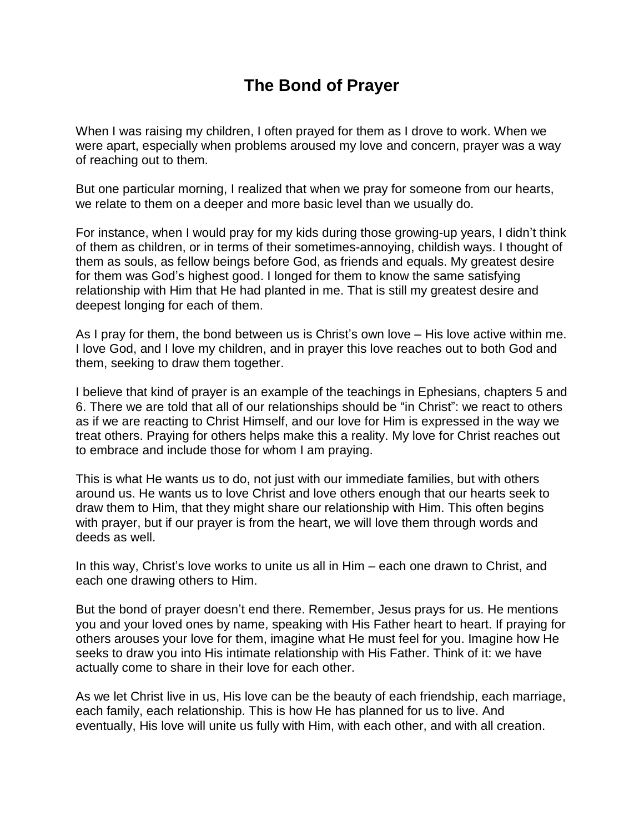## **The Bond of Prayer**

When I was raising my children, I often prayed for them as I drove to work. When we were apart, especially when problems aroused my love and concern, prayer was a way of reaching out to them.

But one particular morning, I realized that when we pray for someone from our hearts, we relate to them on a deeper and more basic level than we usually do.

For instance, when I would pray for my kids during those growing-up years, I didn't think of them as children, or in terms of their sometimes-annoying, childish ways. I thought of them as souls, as fellow beings before God, as friends and equals. My greatest desire for them was God's highest good. I longed for them to know the same satisfying relationship with Him that He had planted in me. That is still my greatest desire and deepest longing for each of them.

As I pray for them, the bond between us is Christ's own love – His love active within me. I love God, and I love my children, and in prayer this love reaches out to both God and them, seeking to draw them together.

I believe that kind of prayer is an example of the teachings in Ephesians, chapters 5 and 6. There we are told that all of our relationships should be "in Christ": we react to others as if we are reacting to Christ Himself, and our love for Him is expressed in the way we treat others. Praying for others helps make this a reality. My love for Christ reaches out to embrace and include those for whom I am praying.

This is what He wants us to do, not just with our immediate families, but with others around us. He wants us to love Christ and love others enough that our hearts seek to draw them to Him, that they might share our relationship with Him. This often begins with prayer, but if our prayer is from the heart, we will love them through words and deeds as well.

In this way, Christ's love works to unite us all in Him – each one drawn to Christ, and each one drawing others to Him.

But the bond of prayer doesn't end there. Remember, Jesus prays for us. He mentions you and your loved ones by name, speaking with His Father heart to heart. If praying for others arouses your love for them, imagine what He must feel for you. Imagine how He seeks to draw you into His intimate relationship with His Father. Think of it: we have actually come to share in their love for each other.

As we let Christ live in us, His love can be the beauty of each friendship, each marriage, each family, each relationship. This is how He has planned for us to live. And eventually, His love will unite us fully with Him, with each other, and with all creation.